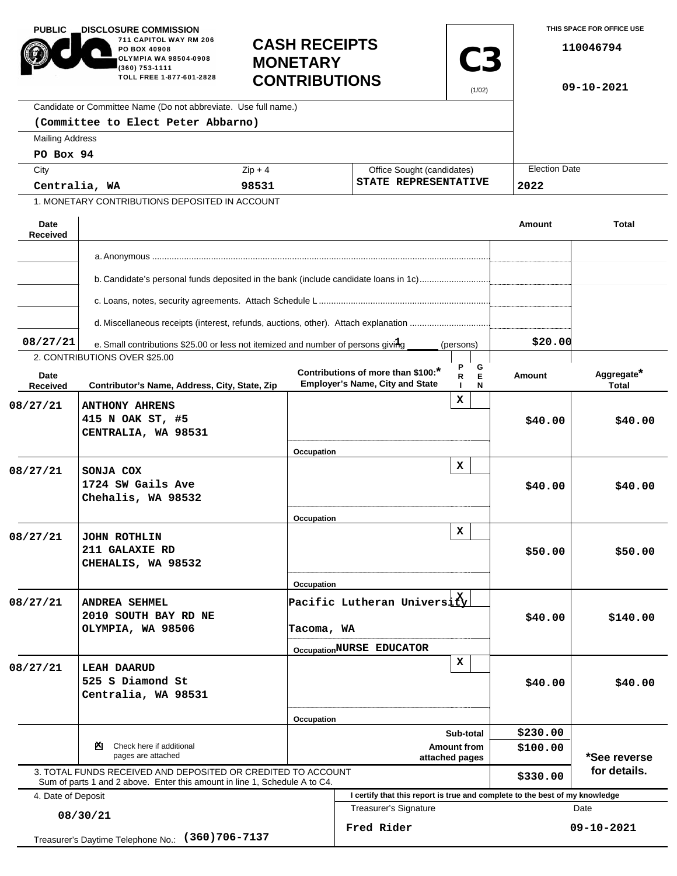| <b>PUBLIC</b><br><b>DISCLOSURE COMMISSION</b><br>711 CAPITOL WAY RM 206<br>PO BOX 40908<br>OLYMPIA WA 98504-0908<br>(360) 753-1111<br>TOLL FREE 1-877-601-2828 |                                                                                                                                            | <b>MONETARY</b>          | <b>CASH RECEIPTS</b><br><b>C3</b><br><b>CONTRIBUTIONS</b>                    |                  | THIS SPACE FOR OFFICE USE<br>110046794<br>$09 - 10 - 2021$ |                            |  |
|----------------------------------------------------------------------------------------------------------------------------------------------------------------|--------------------------------------------------------------------------------------------------------------------------------------------|--------------------------|------------------------------------------------------------------------------|------------------|------------------------------------------------------------|----------------------------|--|
|                                                                                                                                                                | Candidate or Committee Name (Do not abbreviate. Use full name.)                                                                            |                          |                                                                              |                  |                                                            |                            |  |
|                                                                                                                                                                | (Committee to Elect Peter Abbarno)                                                                                                         |                          |                                                                              |                  |                                                            |                            |  |
| <b>Mailing Address</b>                                                                                                                                         |                                                                                                                                            |                          |                                                                              |                  |                                                            |                            |  |
| PO Box 94                                                                                                                                                      |                                                                                                                                            |                          |                                                                              |                  | <b>Election Date</b>                                       |                            |  |
| City<br>Centralia, WA                                                                                                                                          |                                                                                                                                            | $Zip + 4$                | Office Sought (candidates)<br>STATE REPRESENTATIVE                           |                  |                                                            |                            |  |
|                                                                                                                                                                | 1. MONETARY CONTRIBUTIONS DEPOSITED IN ACCOUNT                                                                                             | 98531                    |                                                                              |                  | 2022                                                       |                            |  |
|                                                                                                                                                                |                                                                                                                                            |                          |                                                                              |                  |                                                            |                            |  |
| Date<br><b>Received</b>                                                                                                                                        |                                                                                                                                            |                          |                                                                              |                  | Amount                                                     | <b>Total</b>               |  |
|                                                                                                                                                                |                                                                                                                                            |                          |                                                                              |                  |                                                            |                            |  |
|                                                                                                                                                                | b. Candidate's personal funds deposited in the bank (include candidate loans in 1c)                                                        |                          |                                                                              |                  |                                                            |                            |  |
|                                                                                                                                                                |                                                                                                                                            |                          |                                                                              |                  |                                                            |                            |  |
|                                                                                                                                                                |                                                                                                                                            |                          |                                                                              |                  |                                                            |                            |  |
| 08/27/21                                                                                                                                                       | e. Small contributions \$25.00 or less not itemized and number of persons giving                                                           |                          |                                                                              | (persons)        | \$20.00                                                    |                            |  |
|                                                                                                                                                                | 2. CONTRIBUTIONS OVER \$25.00                                                                                                              |                          |                                                                              |                  |                                                            |                            |  |
| Date<br>Received                                                                                                                                               | Contributor's Name, Address, City, State, Zip                                                                                              |                          | Contributions of more than \$100:*<br><b>Employer's Name, City and State</b> | G<br>Е<br>R<br>N | Amount                                                     | Aggregate*<br><b>Total</b> |  |
| 08/27/21                                                                                                                                                       | <b>ANTHONY AHRENS</b><br>415 N OAK ST, #5<br>CENTRALIA, WA 98531                                                                           |                          |                                                                              | x                | \$40.00                                                    | \$40.00                    |  |
| 08/27/21                                                                                                                                                       | SONJA COX<br>1724 SW Gails Ave<br>Chehalis, WA 98532                                                                                       | Occupation<br>Occupation |                                                                              | x                | \$40.00                                                    | \$40.00                    |  |
| 08/27/21                                                                                                                                                       | JOHN ROTHLIN<br>211 GALAXIE RD<br>CHEHALIS, WA 98532                                                                                       | Occupation               |                                                                              | x                | \$50.00                                                    | \$50.00                    |  |
| 08/27/21                                                                                                                                                       | <b>ANDREA SEHMEL</b><br>2010 SOUTH BAY RD NE<br>OLYMPIA, WA 98506                                                                          | Tacoma, WA               | Pacific Lutheran University<br>OccupationNURSE EDUCATOR                      |                  | \$40.00                                                    | \$140.00                   |  |
| 08/27/21                                                                                                                                                       | <b>LEAH DAARUD</b><br>525 S Diamond St<br>Centralia, WA 98531                                                                              | Occupation               |                                                                              | x                | \$40.00                                                    | \$40.00                    |  |
|                                                                                                                                                                |                                                                                                                                            |                          |                                                                              | Sub-total        | \$230.00                                                   |                            |  |
| Check here if additional<br>PЧ.<br>pages are attached                                                                                                          |                                                                                                                                            |                          | Amount from<br>attached pages                                                |                  |                                                            | *See reverse               |  |
|                                                                                                                                                                | 3. TOTAL FUNDS RECEIVED AND DEPOSITED OR CREDITED TO ACCOUNT<br>Sum of parts 1 and 2 above. Enter this amount in line 1, Schedule A to C4. |                          |                                                                              |                  | \$330.00                                                   | for details.               |  |
| 4. Date of Deposit                                                                                                                                             |                                                                                                                                            |                          | I certify that this report is true and complete to the best of my knowledge  |                  |                                                            |                            |  |
| 08/30/21                                                                                                                                                       |                                                                                                                                            |                          | <b>Treasurer's Signature</b>                                                 |                  | Date                                                       |                            |  |
| $(360)706 - 7137$<br>Treasurer's Daytime Telephone No.:                                                                                                        |                                                                                                                                            |                          | Fred Rider                                                                   |                  |                                                            | 09-10-2021                 |  |